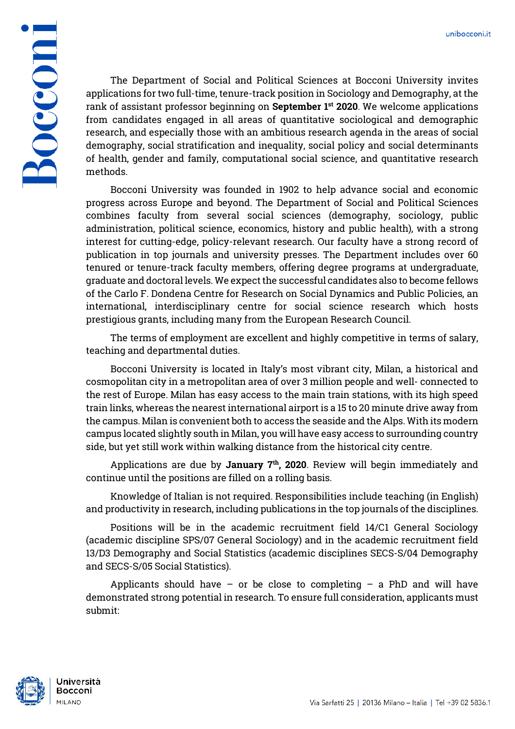The Department of Social and Political Sciences at Bocconi University invites applications for two full-time, tenure-track position in Sociology and Demography, at the rank of assistant professor beginning on **September 1st 2020**. We welcome applications from candidates engaged in all areas of quantitative sociological and demographic research, and especially those with an ambitious research agenda in the areas of social demography, social stratification and inequality, social policy and social determinants of health, gender and family, computational social science, and quantitative research methods.

Bocconi University was founded in 1902 to help advance social and economic progress across Europe and beyond. The Department of Social and Political Sciences combines faculty from several social sciences (demography, sociology, public administration, political science, economics, history and public health), with a strong interest for cutting-edge, policy-relevant research. Our faculty have a strong record of publication in top journals and university presses. The Department includes over 60 tenured or tenure-track faculty members, offering degree programs at undergraduate, graduate and doctoral levels. We expect the successful candidates also to become fellows of the Carlo F. Dondena Centre for Research on Social Dynamics and Public Policies, an international, interdisciplinary centre for social science research which hosts prestigious grants, including many from the European Research Council.

The terms of employment are excellent and highly competitive in terms of salary, teaching and departmental duties.

Bocconi University is located in Italy's most vibrant city, Milan, a historical and cosmopolitan city in a metropolitan area of over 3 million people and well- connected to the rest of Europe. Milan has easy access to the main train stations, with its high speed train links, whereas the nearest international airport is a 15 to 20 minute drive away from the campus. Milan is convenient both to access the seaside and the Alps. With its modern campus located slightly south in Milan, you will have easy access to surrounding country side, but yet still work within walking distance from the historical city centre.

Applications are due by **January 7th, 2020**. Review will begin immediately and continue until the positions are filled on a rolling basis.

Knowledge of Italian is not required. Responsibilities include teaching (in English) and productivity in research, including publications in the top journals of the disciplines.

Positions will be in the academic recruitment field 14/C1 General Sociology (academic discipline SPS/07 General Sociology) and in the academic recruitment field 13/D3 Demography and Social Statistics (academic disciplines SECS-S/04 Demography and SECS-S/05 Social Statistics).

Applicants should have  $-$  or be close to completing  $-$  a PhD and will have demonstrated strong potential in research. To ensure full consideration, applicants must submit: